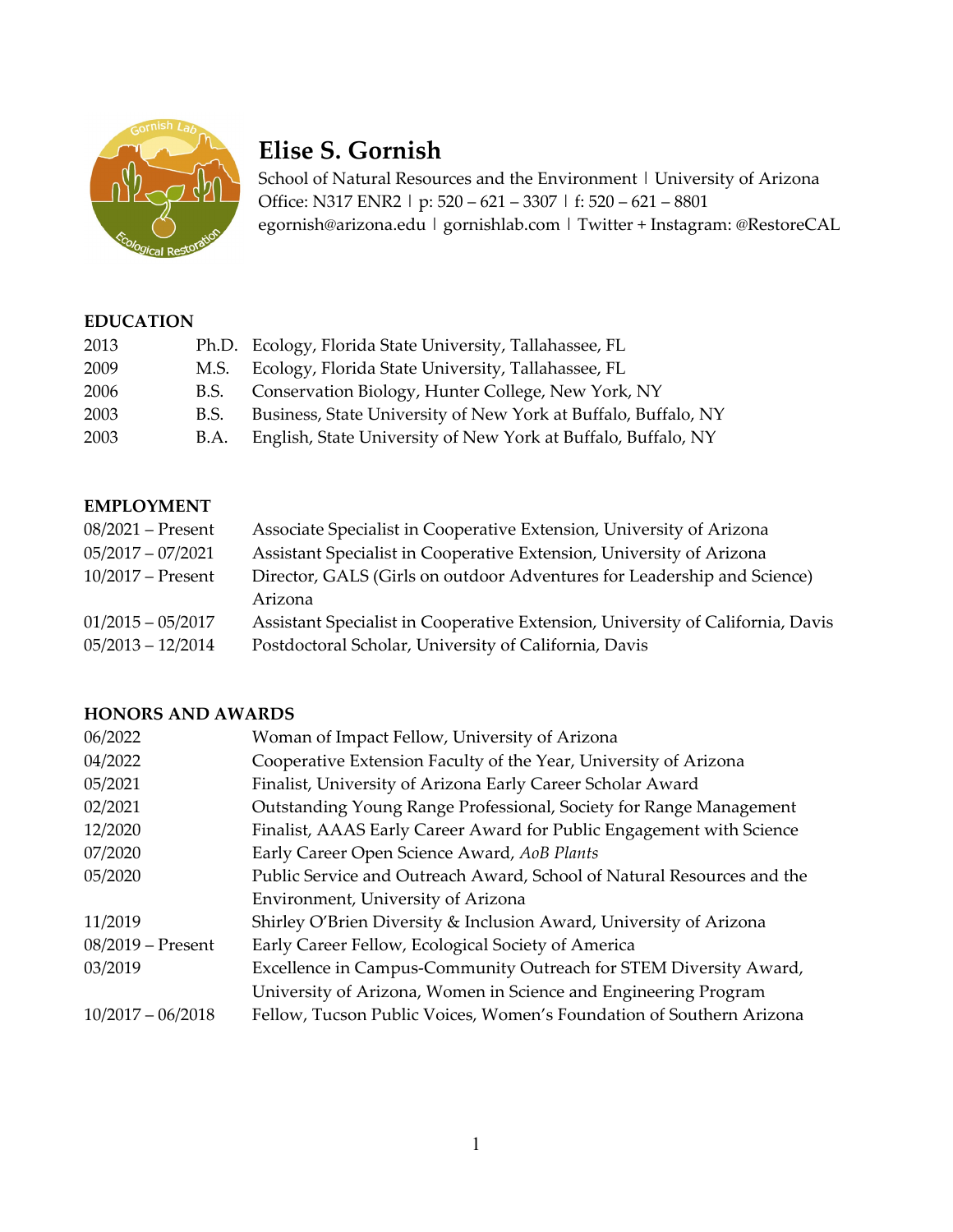

# **Elise S. Gornish**

School of Natural Resources and the Environment | University of Arizona Office: N317 ENR2 | p: 520 – 621 – 3307 | f: 520 – 621 – 8801 egornish@arizona.edu | gornishlab.com | Twitter + Instagram: @RestoreCAL

#### **EDUCATION**

| 2013 |      | Ph.D. Ecology, Florida State University, Tallahassee, FL       |
|------|------|----------------------------------------------------------------|
| 2009 | M.S. | Ecology, Florida State University, Tallahassee, FL             |
| 2006 | B.S. | Conservation Biology, Hunter College, New York, NY             |
| 2003 | B.S. | Business, State University of New York at Buffalo, Buffalo, NY |
| 2003 | B.A. | English, State University of New York at Buffalo, Buffalo, NY  |

#### **EMPLOYMENT**

| $08/2021$ – Present | Associate Specialist in Cooperative Extension, University of Arizona           |
|---------------------|--------------------------------------------------------------------------------|
| $05/2017 - 07/2021$ | Assistant Specialist in Cooperative Extension, University of Arizona           |
| $10/2017$ – Present | Director, GALS (Girls on outdoor Adventures for Leadership and Science)        |
|                     | Arizona                                                                        |
| $01/2015 - 05/2017$ | Assistant Specialist in Cooperative Extension, University of California, Davis |
| $05/2013 - 12/2014$ | Postdoctoral Scholar, University of California, Davis                          |
|                     |                                                                                |

#### **HONORS AND AWARDS**

| 06/2022             | Woman of Impact Fellow, University of Arizona                          |
|---------------------|------------------------------------------------------------------------|
| 04/2022             | Cooperative Extension Faculty of the Year, University of Arizona       |
| 05/2021             | Finalist, University of Arizona Early Career Scholar Award             |
| 02/2021             | Outstanding Young Range Professional, Society for Range Management     |
| 12/2020             | Finalist, AAAS Early Career Award for Public Engagement with Science   |
| 07/2020             | Early Career Open Science Award, AoB Plants                            |
| 05/2020             | Public Service and Outreach Award, School of Natural Resources and the |
|                     | Environment, University of Arizona                                     |
| 11/2019             | Shirley O'Brien Diversity & Inclusion Award, University of Arizona     |
| 08/2019 - Present   | Early Career Fellow, Ecological Society of America                     |
| 03/2019             | Excellence in Campus-Community Outreach for STEM Diversity Award,      |
|                     | University of Arizona, Women in Science and Engineering Program        |
| $10/2017 - 06/2018$ | Fellow, Tucson Public Voices, Women's Foundation of Southern Arizona   |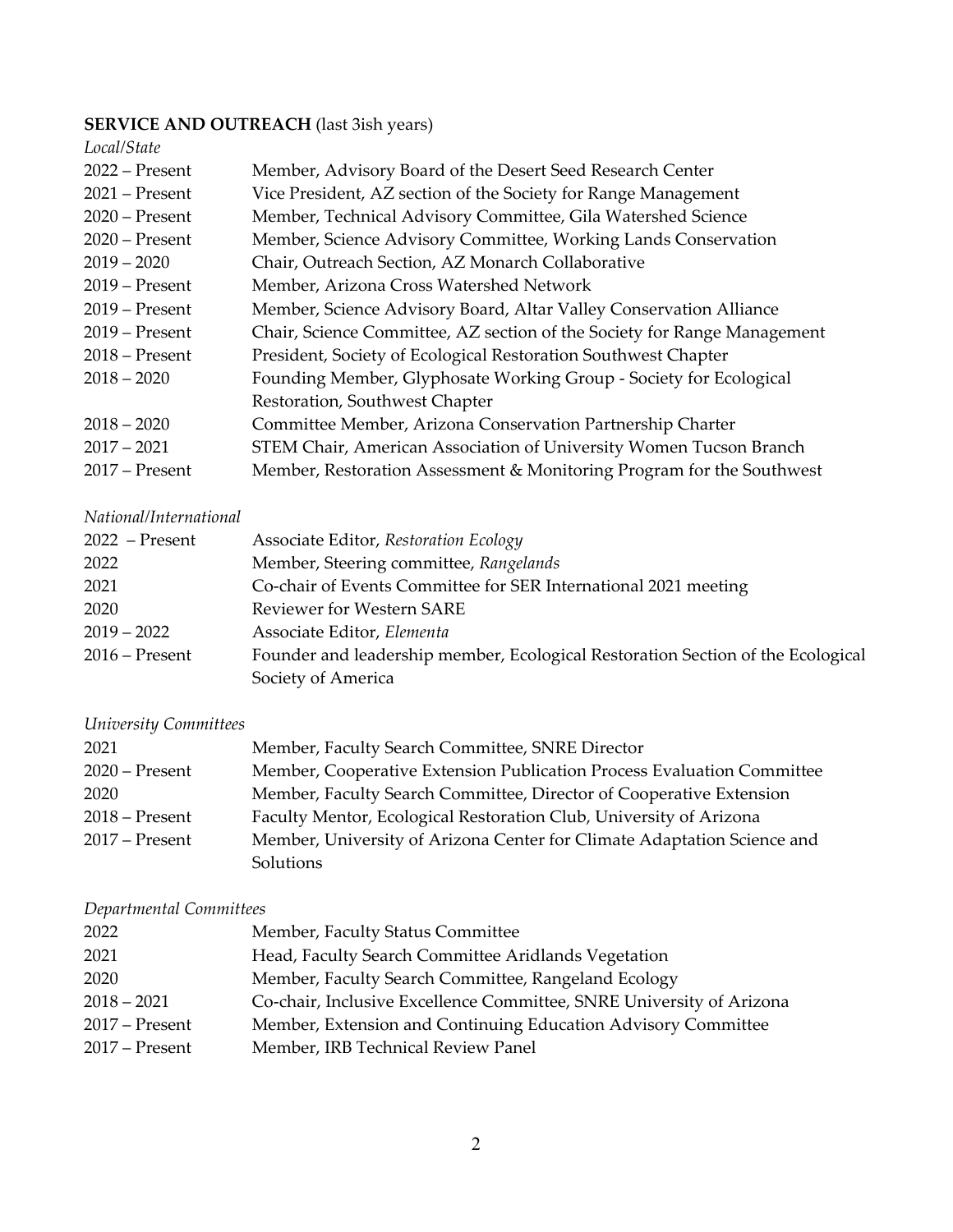#### **SERVICE AND OUTREACH** (last 3ish years)

| Local/State      |                                                                          |
|------------------|--------------------------------------------------------------------------|
| $2022$ – Present | Member, Advisory Board of the Desert Seed Research Center                |
| $2021$ – Present | Vice President, AZ section of the Society for Range Management           |
| $2020$ – Present | Member, Technical Advisory Committee, Gila Watershed Science             |
| $2020$ – Present | Member, Science Advisory Committee, Working Lands Conservation           |
| $2019 - 2020$    | Chair, Outreach Section, AZ Monarch Collaborative                        |
| $2019$ – Present | Member, Arizona Cross Watershed Network                                  |
| $2019$ – Present | Member, Science Advisory Board, Altar Valley Conservation Alliance       |
| $2019$ – Present | Chair, Science Committee, AZ section of the Society for Range Management |
| $2018$ – Present | President, Society of Ecological Restoration Southwest Chapter           |
| $2018 - 2020$    | Founding Member, Glyphosate Working Group - Society for Ecological       |
|                  | Restoration, Southwest Chapter                                           |
| $2018 - 2020$    | Committee Member, Arizona Conservation Partnership Charter               |
| $2017 - 2021$    | STEM Chair, American Association of University Women Tucson Branch       |
| $2017$ – Present | Member, Restoration Assessment & Monitoring Program for the Southwest    |

#### *National/International*

| $2022$ – Present | Associate Editor, Restoration Ecology                                           |
|------------------|---------------------------------------------------------------------------------|
| 2022             | Member, Steering committee, Rangelands                                          |
| 2021             | Co-chair of Events Committee for SER International 2021 meeting                 |
| 2020             | <b>Reviewer for Western SARE</b>                                                |
| $2019 - 2022$    | Associate Editor, Elementa                                                      |
| $2016$ – Present | Founder and leadership member, Ecological Restoration Section of the Ecological |
|                  | Society of America                                                              |
|                  |                                                                                 |

### *University Committees*

| 2021             | Member, Faculty Search Committee, SNRE Director                         |
|------------------|-------------------------------------------------------------------------|
| $2020$ – Present | Member, Cooperative Extension Publication Process Evaluation Committee  |
| 2020             | Member, Faculty Search Committee, Director of Cooperative Extension     |
| $2018 -$ Present | Faculty Mentor, Ecological Restoration Club, University of Arizona      |
| $2017$ – Present | Member, University of Arizona Center for Climate Adaptation Science and |
|                  | Solutions                                                               |

# *Departmental Committees*

| Member, Faculty Status Committee                                     |
|----------------------------------------------------------------------|
| Head, Faculty Search Committee Aridlands Vegetation                  |
| Member, Faculty Search Committee, Rangeland Ecology                  |
| Co-chair, Inclusive Excellence Committee, SNRE University of Arizona |
| Member, Extension and Continuing Education Advisory Committee        |
| Member, IRB Technical Review Panel                                   |
|                                                                      |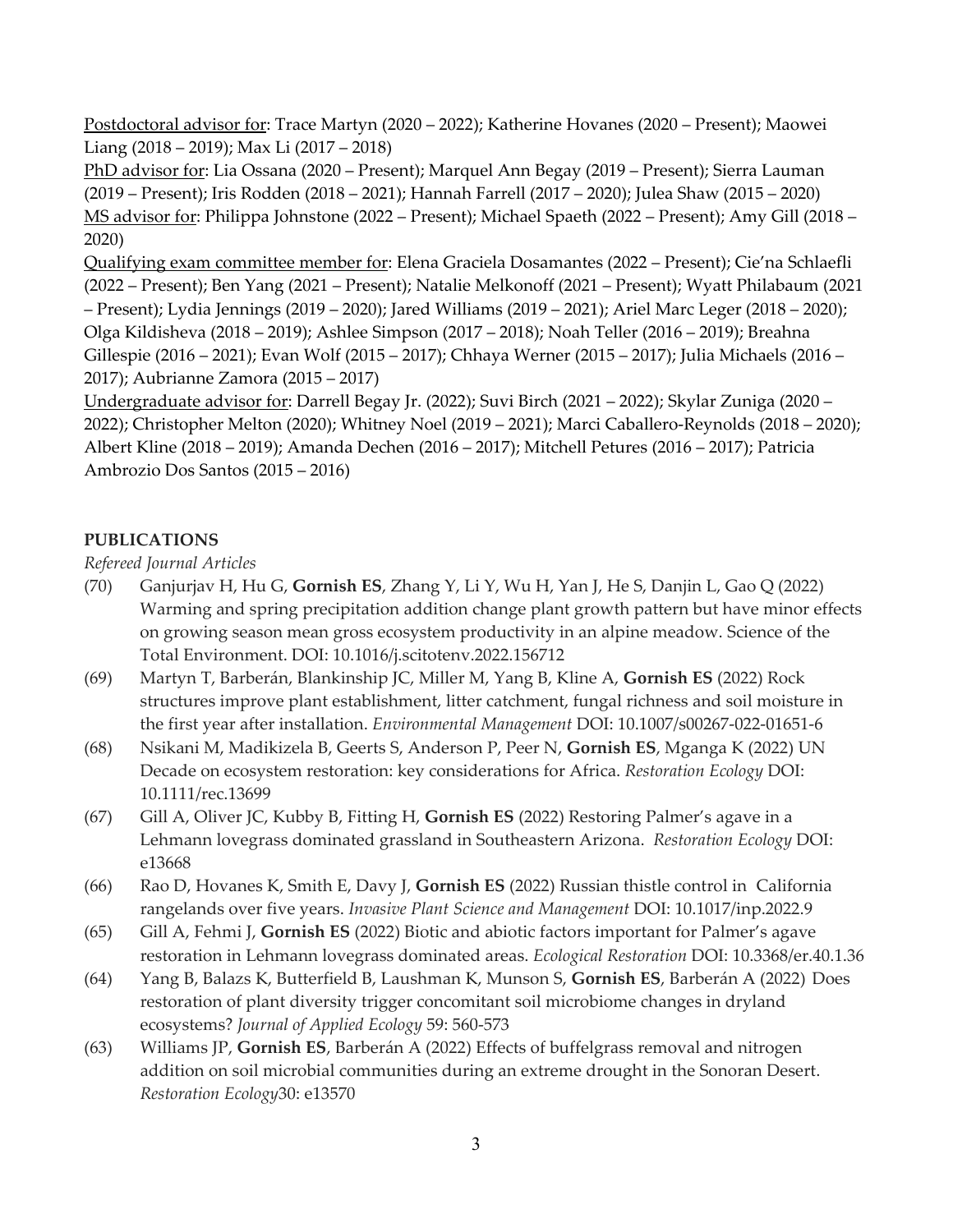Postdoctoral advisor for: Trace Martyn (2020 – 2022); Katherine Hovanes (2020 – Present); Maowei Liang (2018 – 2019); Max Li (2017 – 2018)

PhD advisor for: Lia Ossana (2020 – Present); Marquel Ann Begay (2019 – Present); Sierra Lauman (2019 – Present); Iris Rodden (2018 – 2021); Hannah Farrell (2017 – 2020); Julea Shaw (2015 – 2020) MS advisor for: Philippa Johnstone (2022 – Present); Michael Spaeth (2022 – Present); Amy Gill (2018 – 2020)

Qualifying exam committee member for: Elena Graciela Dosamantes (2022 – Present); Cie'na Schlaefli (2022 – Present); Ben Yang (2021 – Present); Natalie Melkonoff (2021 – Present); Wyatt Philabaum (2021 – Present); Lydia Jennings (2019 – 2020); Jared Williams (2019 – 2021); Ariel Marc Leger (2018 – 2020); Olga Kildisheva (2018 – 2019); Ashlee Simpson (2017 – 2018); Noah Teller (2016 – 2019); Breahna Gillespie (2016 – 2021); Evan Wolf (2015 – 2017); Chhaya Werner (2015 – 2017); Julia Michaels (2016 – 2017); Aubrianne Zamora (2015 – 2017)

Undergraduate advisor for: Darrell Begay Jr. (2022); Suvi Birch (2021 – 2022); Skylar Zuniga (2020 – 2022); Christopher Melton (2020); Whitney Noel (2019 – 2021); Marci Caballero-Reynolds (2018 – 2020); Albert Kline (2018 – 2019); Amanda Dechen (2016 – 2017); Mitchell Petures (2016 – 2017); Patricia Ambrozio Dos Santos (2015 – 2016)

### **PUBLICATIONS**

*Refereed Journal Articles*

- (70) Ganjurjav H, Hu G, **Gornish ES**, Zhang Y, Li Y, Wu H, Yan J, He S, Danjin L, Gao Q (2022) Warming and spring precipitation addition change plant growth pattern but have minor effects on growing season mean gross ecosystem productivity in an alpine meadow. Science of the Total Environment. DOI: 10.1016/j.scitotenv.2022.156712
- (69) Martyn T, Barberán, Blankinship JC, Miller M, Yang B, Kline A, **Gornish ES** (2022) Rock structures improve plant establishment, litter catchment, fungal richness and soil moisture in the first year after installation. *Environmental Management* DOI: 10.1007/s00267-022-01651-6
- (68) Nsikani M, Madikizela B, Geerts S, Anderson P, Peer N, **Gornish ES**, Mganga K (2022) UN Decade on ecosystem restoration: key considerations for Africa. *Restoration Ecology* DOI: 10.1111/rec.13699
- (67) Gill A, Oliver JC, Kubby B, Fitting H, **Gornish ES** (2022) Restoring Palmer's agave in a Lehmann lovegrass dominated grassland in Southeastern Arizona. *Restoration Ecology* DOI: e13668
- (66) Rao D, Hovanes K, Smith E, Davy J, **Gornish ES** (2022) Russian thistle control in California rangelands over five years. *Invasive Plant Science and Management* DOI: 10.1017/inp.2022.9
- (65) Gill A, Fehmi J, **Gornish ES** (2022) Biotic and abiotic factors important for Palmer's agave restoration in Lehmann lovegrass dominated areas. *Ecological Restoration* DOI: 10.3368/er.40.1.36
- (64) Yang B, Balazs K, Butterfield B, Laushman K, Munson S, **Gornish ES**, Barberán A (2022) Does restoration of plant diversity trigger concomitant soil microbiome changes in dryland ecosystems? *Journal of Applied Ecology* 59: 560-573
- (63) Williams JP, **Gornish ES**, Barberán A (2022) Effects of buffelgrass removal and nitrogen addition on soil microbial communities during an extreme drought in the Sonoran Desert. *Restoration Ecology*30: e13570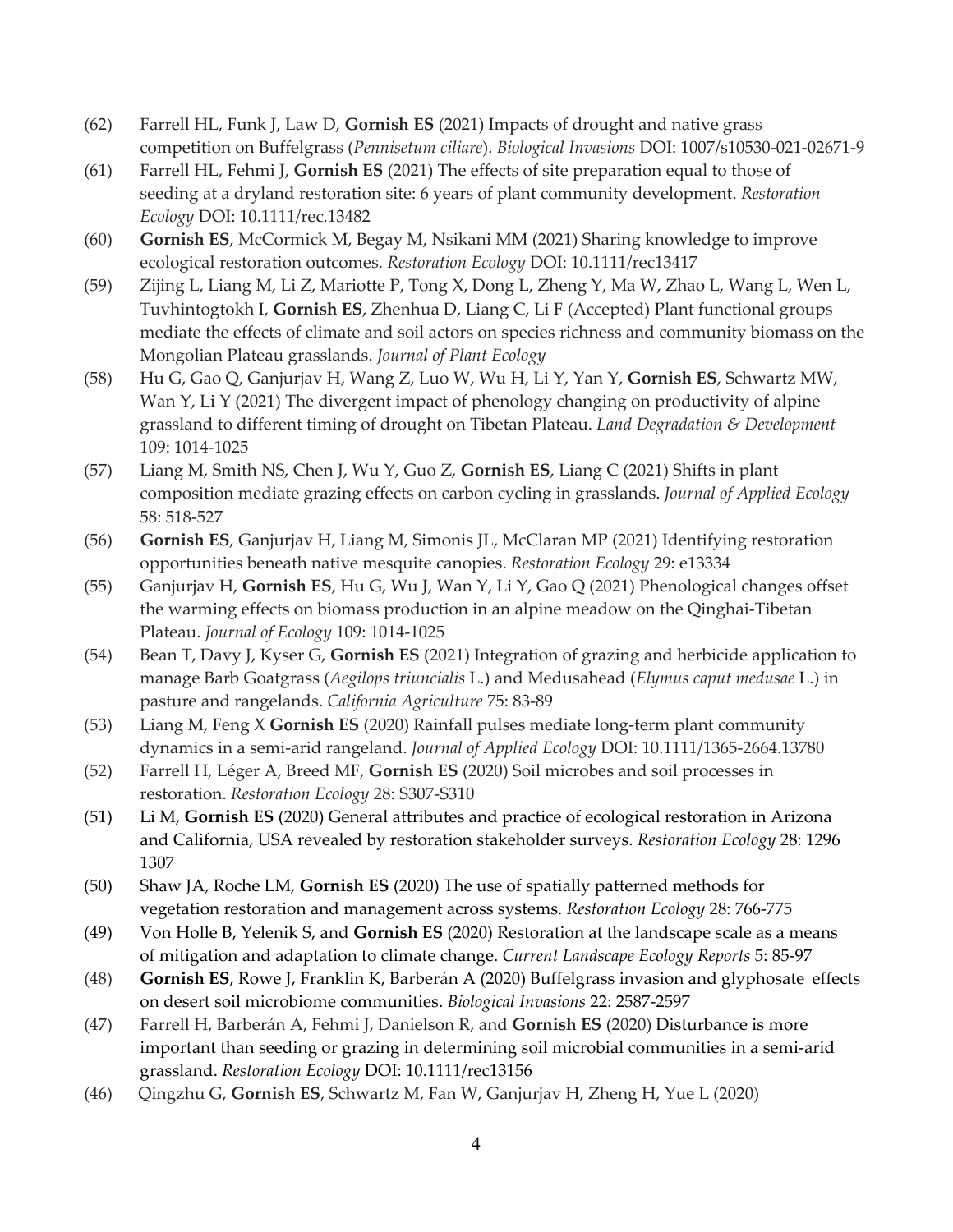- (62) Farrell HL, Funk J, Law D, **Gornish ES** (2021) Impacts of drought and native grass competition on Buffelgrass (*Pennisetum ciliare*). *Biological Invasions* DOI: 1007/s10530-021-02671-9
- (61) Farrell HL, Fehmi J, **Gornish ES** (2021) The effects of site preparation equal to those of seeding at a dryland restoration site: 6 years of plant community development. *Restoration Ecology* DOI: 10.1111/rec.13482
- (60) **Gornish ES**, McCormick M, Begay M, Nsikani MM (2021) Sharing knowledge to improve ecological restoration outcomes. *Restoration Ecology* DOI: 10.1111/rec13417
- (59) Zijing L, Liang M, Li Z, Mariotte P, Tong X, Dong L, Zheng Y, Ma W, Zhao L, Wang L, Wen L, Tuvhintogtokh I, **Gornish ES**, Zhenhua D, Liang C, Li F (Accepted) Plant functional groups mediate the effects of climate and soil actors on species richness and community biomass on the Mongolian Plateau grasslands. *Journal of Plant Ecology*
- (58) Hu G, Gao Q, Ganjurjav H, Wang Z, Luo W, Wu H, Li Y, Yan Y, **Gornish ES**, Schwartz MW, Wan Y, Li Y (2021) The divergent impact of phenology changing on productivity of alpine grassland to different timing of drought on Tibetan Plateau. *Land Degradation & Development* 109: 1014-1025
- (57) Liang M, Smith NS, Chen J, Wu Y, Guo Z, **Gornish ES**, Liang C (2021) Shifts in plant composition mediate grazing effects on carbon cycling in grasslands. *Journal of Applied Ecology* 58: 518-527
- (56) **Gornish ES**, Ganjurjav H, Liang M, Simonis JL, McClaran MP (2021) Identifying restoration opportunities beneath native mesquite canopies. *Restoration Ecology* 29: e13334
- (55) Ganjurjav H, **Gornish ES**, Hu G, Wu J, Wan Y, Li Y, Gao Q (2021) Phenological changes offset the warming effects on biomass production in an alpine meadow on the Qinghai-Tibetan Plateau. *Journal of Ecology* 109: 1014-1025
- (54) Bean T, Davy J, Kyser G, **Gornish ES** (2021) Integration of grazing and herbicide application to manage Barb Goatgrass (*Aegilops triuncialis* L.) and Medusahead (*Elymus caput medusae* L.) in pasture and rangelands. *California Agriculture* 75: 83-89
- (53) Liang M, Feng X **Gornish ES** (2020) Rainfall pulses mediate long-term plant community dynamics in a semi-arid rangeland. *Journal of Applied Ecology* DOI: 10.1111/1365-2664.13780
- (52) Farrell H, Léger A, Breed MF, **Gornish ES** (2020) Soil microbes and soil processes in restoration. *Restoration Ecology* 28: S307-S310
- (51) Li M, **Gornish ES** (2020) General attributes and practice of ecological restoration in Arizona and California, USA revealed by restoration stakeholder surveys. *Restoration Ecology* 28: 1296 1307
- (50) Shaw JA, Roche LM, **Gornish ES** (2020) The use of spatially patterned methods for vegetation restoration and management across systems. *Restoration Ecology* 28: 766-775
- (49) Von Holle B, Yelenik S, and **Gornish ES** (2020) Restoration at the landscape scale as a means of mitigation and adaptation to climate change. *Current Landscape Ecology Reports* 5: 85-97
- (48) **Gornish ES**, Rowe J, Franklin K, Barberán A (2020) Buffelgrass invasion and glyphosate effects on desert soil microbiome communities. *Biological Invasions* 22: 2587-2597
- (47) Farrell H, Barberán A, Fehmi J, Danielson R, and **Gornish ES** (2020) Disturbance is more important than seeding or grazing in determining soil microbial communities in a semi-arid grassland. *Restoration Ecology* DOI: 10.1111/rec13156
- (46) Qingzhu G, **Gornish ES**, Schwartz M, Fan W, Ganjurjav H, Zheng H, Yue L (2020)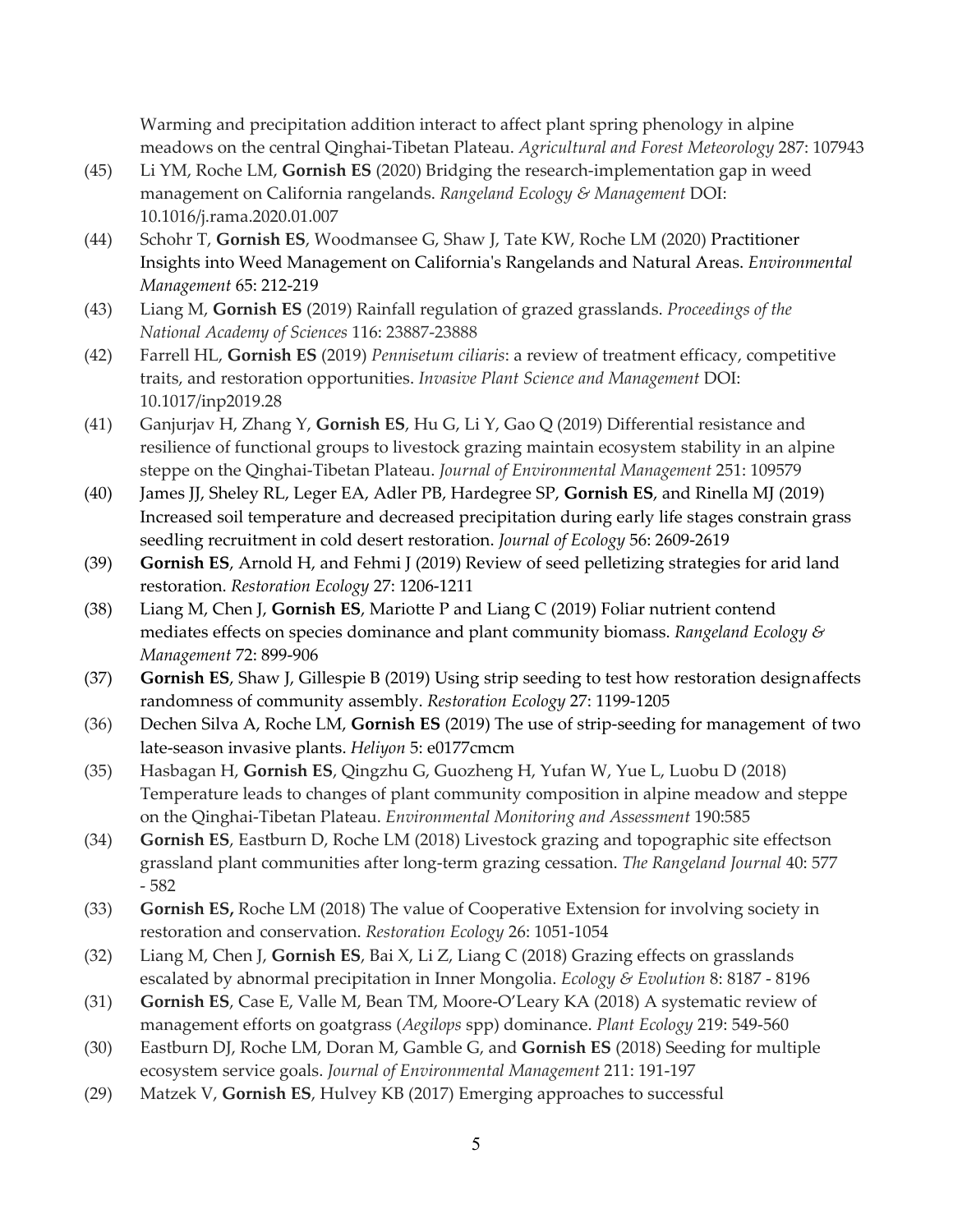Warming and precipitation addition interact to affect plant spring phenology in alpine meadows on the central Qinghai-Tibetan Plateau. *Agricultural and Forest Meteorology* 287: 107943

- (45) Li YM, Roche LM, **Gornish ES** (2020) Bridging the research-implementation gap in weed management on California rangelands. *Rangeland Ecology & Management* DOI: 10.1016/j.rama.2020.01.007
- (44) Schohr T, **Gornish ES**, Woodmansee G, Shaw J, Tate KW, Roche LM (2020) Practitioner Insights into Weed Management on California's Rangelands and Natural Areas. *Environmental Management* 65: 212-219
- (43) Liang M, **Gornish ES** (2019) Rainfall regulation of grazed grasslands. *Proceedings of the National Academy of Sciences* 116: 23887-23888
- (42) Farrell HL, **Gornish ES** (2019) *Pennisetum ciliaris*: a review of treatment efficacy, competitive traits, and restoration opportunities. *Invasive Plant Science and Management* DOI: 10.1017/inp2019.28
- (41) Ganjurjav H, Zhang Y, **Gornish ES**, Hu G, Li Y, Gao Q (2019) Differential resistance and resilience of functional groups to livestock grazing maintain ecosystem stability in an alpine steppe on the Qinghai-Tibetan Plateau. *Journal of Environmental Management* 251: 109579
- (40) James JJ, Sheley RL, Leger EA, Adler PB, Hardegree SP, **Gornish ES**, and Rinella MJ (2019) Increased soil temperature and decreased precipitation during early life stages constrain grass seedling recruitment in cold desert restoration. *Journal of Ecology* 56: 2609-2619
- (39) **Gornish ES**, Arnold H, and Fehmi J (2019) Review of seed pelletizing strategies for arid land restoration. *Restoration Ecology* 27: 1206-1211
- (38) Liang M, Chen J, **Gornish ES**, Mariotte P and Liang C (2019) Foliar nutrient contend mediates effects on species dominance and plant community biomass. *Rangeland Ecology & Management* 72: 899-906
- (37) **Gornish ES**, Shaw J, Gillespie B (2019) Using strip seeding to test how restoration design affects randomness of community assembly. *Restoration Ecology* 27: 1199-1205
- (36) Dechen Silva A, Roche LM, **Gornish ES** (2019) The use of strip-seeding for management of two late-season invasive plants. *Heliyon* 5: e0177cmcm
- (35) Hasbagan H, **Gornish ES**, Qingzhu G, Guozheng H, Yufan W, Yue L, Luobu D (2018) Temperature leads to changes of plant community composition in alpine meadow and steppe on the Qinghai-Tibetan Plateau. *Environmental Monitoring and Assessment* 190:585
- (34) **Gornish ES**, Eastburn D, Roche LM (2018) Livestock grazing and topographic site effects on grassland plant communities after long-term grazing cessation. *The Rangeland Journal* 40: 577 - 582
- (33) **Gornish ES,** Roche LM (2018) The value of Cooperative Extension for involving society in restoration and conservation. *Restoration Ecology* 26: 1051-1054
- (32) Liang M, Chen J, **Gornish ES**, Bai X, Li Z, Liang C (2018) Grazing effects on grasslands escalated by abnormal precipitation in Inner Mongolia. *Ecology & Evolution* 8: 8187 - 8196
- (31) **Gornish ES**, Case E, Valle M, Bean TM, Moore-O'Leary KA (2018) A systematic review of management efforts on goatgrass (*Aegilops* spp) dominance. *Plant Ecology* 219: 549-560
- (30) Eastburn DJ, Roche LM, Doran M, Gamble G, and **Gornish ES** (2018) Seeding for multiple ecosystem service goals. *Journal of Environmental Management* 211: 191-197
- (29) Matzek V, **Gornish ES**, Hulvey KB (2017) Emerging approaches to successful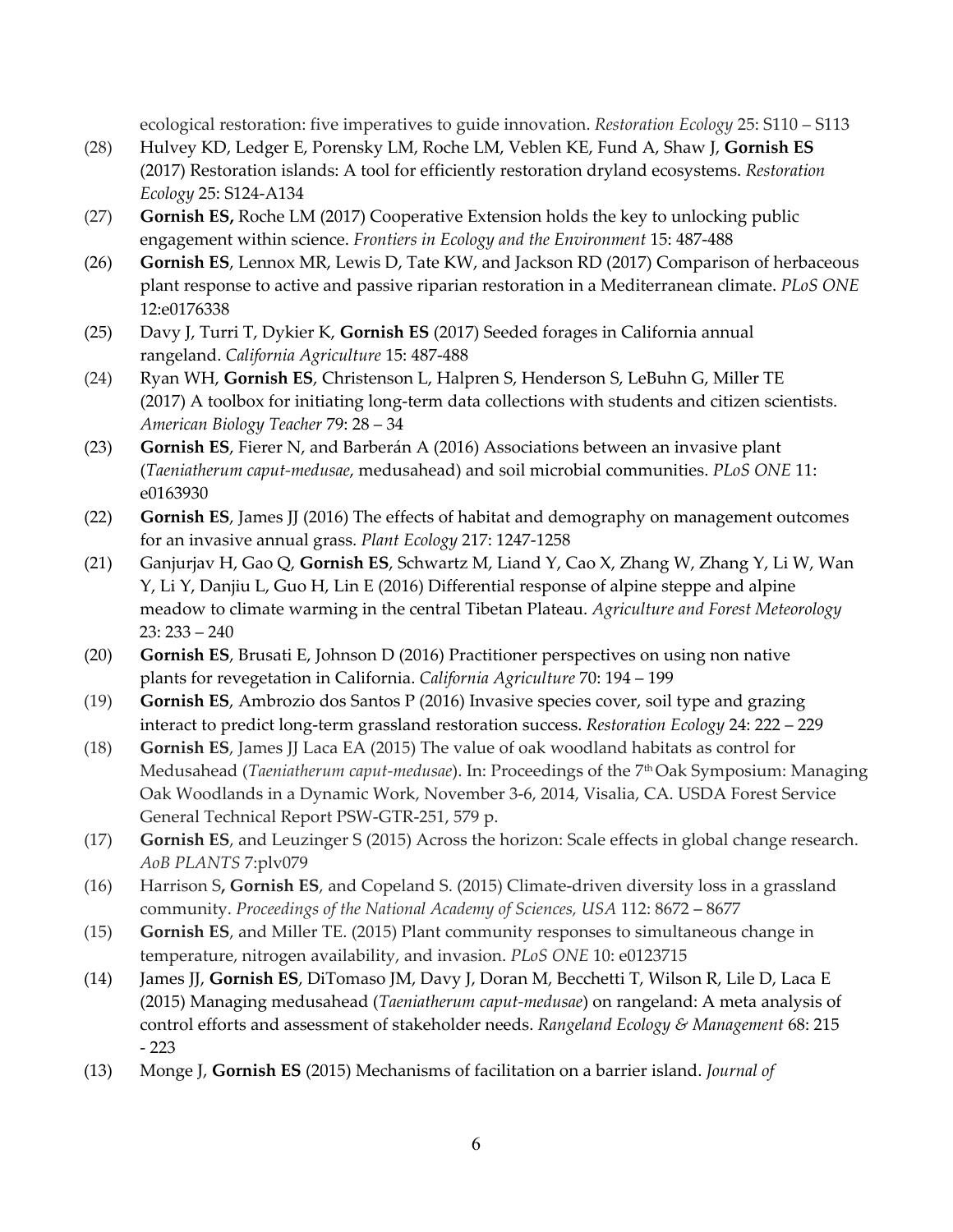ecological restoration: five imperatives to guide innovation. *Restoration Ecology* 25: S110 – S113

- (28) Hulvey KD, Ledger E, Porensky LM, Roche LM, Veblen KE, Fund A, Shaw J, **Gornish ES** (2017) Restoration islands: A tool for efficiently restoration dryland ecosystems. *Restoration Ecology* 25: S124-A134
- (27) **Gornish ES,** Roche LM (2017) Cooperative Extension holds the key to unlocking public engagement within science. *Frontiers in Ecology and the Environment* 15: 487-488
- (26) **Gornish ES**, Lennox MR, Lewis D, Tate KW, and Jackson RD (2017) Comparison of herbaceous plant response to active and passive riparian restoration in a Mediterranean climate. *PLoS ONE* 12:e0176338
- (25) Davy J, Turri T, Dykier K, **Gornish ES** (2017) Seeded forages in California annual rangeland. *California Agriculture* 15: 487-488
- (24) Ryan WH, **Gornish ES**, Christenson L, Halpren S, Henderson S, LeBuhn G, Miller TE (2017) A toolbox for initiating long-term data collections with students and citizen scientists. *American Biology Teacher* 79: 28 – 34
- (23) **Gornish ES**, Fierer N, and Barberán A (2016) Associations between an invasive plant (*Taeniatherum caput-medusae*, medusahead) and soil microbial communities. *PLoS ONE* 11: e0163930
- (22) **Gornish ES**, James JJ (2016) The effects of habitat and demography on management outcomes for an invasive annual grass. *Plant Ecology* 217: 1247-1258
- (21) Ganjurjav H, Gao Q, **Gornish ES**, Schwartz M, Liand Y, Cao X, Zhang W, Zhang Y, Li W, Wan Y, Li Y, Danjiu L, Guo H, Lin E (2016) Differential response of alpine steppe and alpine meadow to climate warming in the central Tibetan Plateau. *Agriculture and Forest Meteorology* 23: 233 – 240
- (20) **Gornish ES**, Brusati E, Johnson D (2016) Practitioner perspectives on using non native plants for revegetation in California. *California Agriculture* 70: 194 – 199
- (19) **Gornish ES**, Ambrozio dos Santos P (2016) Invasive species cover, soil type and grazing interact to predict long-term grassland restoration success. *Restoration Ecology* 24: 222 – 229
- (18) **Gornish ES**, James JJ Laca EA (2015) The value of oak woodland habitats as control for Medusahead (*Taeniatherum caput-medusae*). In: Proceedings of the 7th Oak Symposium: Managing Oak Woodlands in a Dynamic Work, November 3-6, 2014, Visalia, CA. USDA Forest Service General Technical Report PSW-GTR-251, 579 p.
- (17) **Gornish ES**, and Leuzinger S (2015) Across the horizon: Scale effects in global change research. *AoB PLANTS* 7:plv079
- (16) Harrison S**, Gornish ES**, and Copeland S. (2015) Climate-driven diversity loss in a grassland community. *Proceedings of the National Academy of Sciences, USA* 112: 8672 – 8677
- (15) **Gornish ES**, and Miller TE. (2015) Plant community responses to simultaneous change in temperature, nitrogen availability, and invasion. *PLoS ONE* 10: e0123715
- (14) James JJ, **Gornish ES**, DiTomaso JM, Davy J, Doran M, Becchetti T, Wilson R, Lile D, Laca E (2015) Managing medusahead (*Taeniatherum caput-medusae*) on rangeland: A meta analysis of control efforts and assessment of stakeholder needs. *Rangeland Ecology & Management* 68: 215 - 223
- (13) Monge J, **Gornish ES** (2015) Mechanisms of facilitation on a barrier island. *Journal of*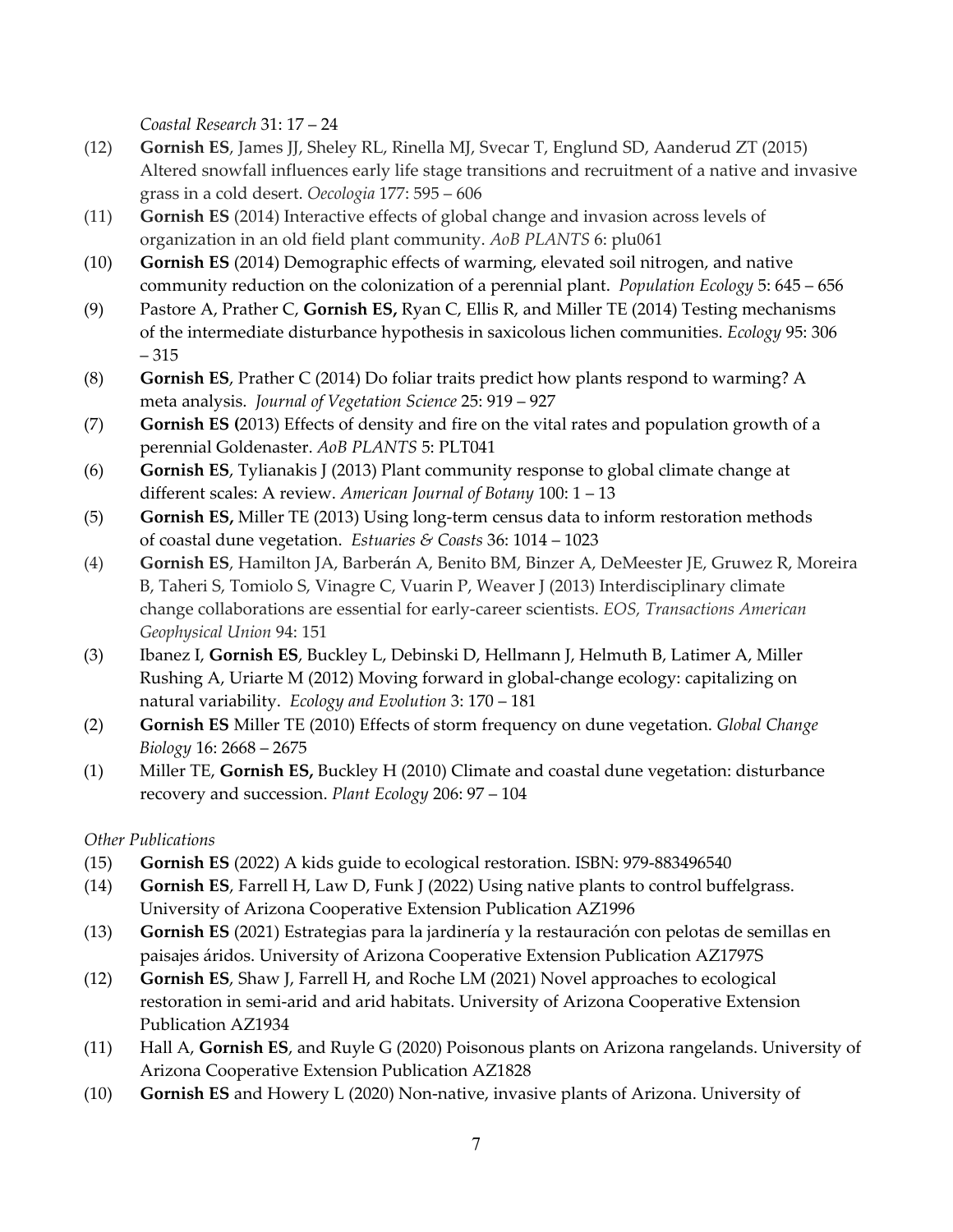*Coastal Research* 31: 17 – 24

- (12) **Gornish ES**, James JJ, Sheley RL, Rinella MJ, Svecar T, Englund SD, Aanderud ZT (2015) Altered snowfall influences early life stage transitions and recruitment of a native and invasive grass in a cold desert. *Oecologia* 177: 595 – 606
- (11) **Gornish ES** (2014) Interactive effects of global change and invasion across levels of organization in an old field plant community. *AoB PLANTS* 6: plu061
- (10) **Gornish ES** (2014) Demographic effects of warming, elevated soil nitrogen, and native community reduction on the colonization of a perennial plant. *Population Ecology* 5: 645 – 656
- (9) Pastore A, Prather C, **Gornish ES,** Ryan C, Ellis R, and Miller TE (2014) Testing mechanisms of the intermediate disturbance hypothesis in saxicolous lichen communities. *Ecology* 95: 306 – 315
- (8) **Gornish ES**, Prather C (2014) Do foliar traits predict how plants respond to warming? A meta analysis. *Journal of Vegetation Science* 25: 919 – 927
- (7) **Gornish ES (**2013) Effects of density and fire on the vital rates and population growth of a perennial Goldenaster. *AoB PLANTS* 5: PLT041
- (6) **Gornish ES**, Tylianakis J (2013) Plant community response to global climate change at different scales: A review. *American Journal of Botany* 100: 1 – 13
- (5) **Gornish ES,** Miller TE (2013) Using long-term census data to inform restoration methods of coastal dune vegetation. *Estuaries & Coasts* 36: 1014 – 1023
- (4) **Gornish ES**, Hamilton JA, Barberán A, Benito BM, Binzer A, DeMeester JE, Gruwez R, Moreira B, Taheri S, Tomiolo S, Vinagre C, Vuarin P, Weaver J (2013) Interdisciplinary climate change collaborations are essential for early-career scientists. *EOS, Transactions American Geophysical Union* 94: 151
- (3) Ibanez I, **Gornish ES**, Buckley L, Debinski D, Hellmann J, Helmuth B, Latimer A, Miller Rushing A, Uriarte M (2012) Moving forward in global-change ecology: capitalizing on natural variability. *Ecology and Evolution* 3: 170 – 181
- (2) **Gornish ES** Miller TE (2010) Effects of storm frequency on dune vegetation. *Global Change Biology* 16: 2668 – 2675
- (1) Miller TE, **Gornish ES,** Buckley H (2010) Climate and coastal dune vegetation: disturbance recovery and succession. *Plant Ecology* 206: 97 – 104

# *Other Publications*

- (15) **Gornish ES** (2022) A kids guide to ecological restoration. ISBN: 979-883496540
- (14) **Gornish ES**, Farrell H, Law D, Funk J (2022) Using native plants to control buffelgrass. University of Arizona Cooperative Extension Publication AZ1996
- (13) **Gornish ES** (2021) Estrategias para la jardinería y la restauración con pelotas de semillas en paisajes áridos. University of Arizona Cooperative Extension Publication AZ1797S
- (12) **Gornish ES**, Shaw J, Farrell H, and Roche LM (2021) Novel approaches to ecological restoration in semi-arid and arid habitats. University of Arizona Cooperative Extension Publication AZ1934
- (11) Hall A, **Gornish ES**, and Ruyle G (2020) Poisonous plants on Arizona rangelands. University of Arizona Cooperative Extension Publication AZ1828
- (10) **Gornish ES** and Howery L (2020) Non-native, invasive plants of Arizona. University of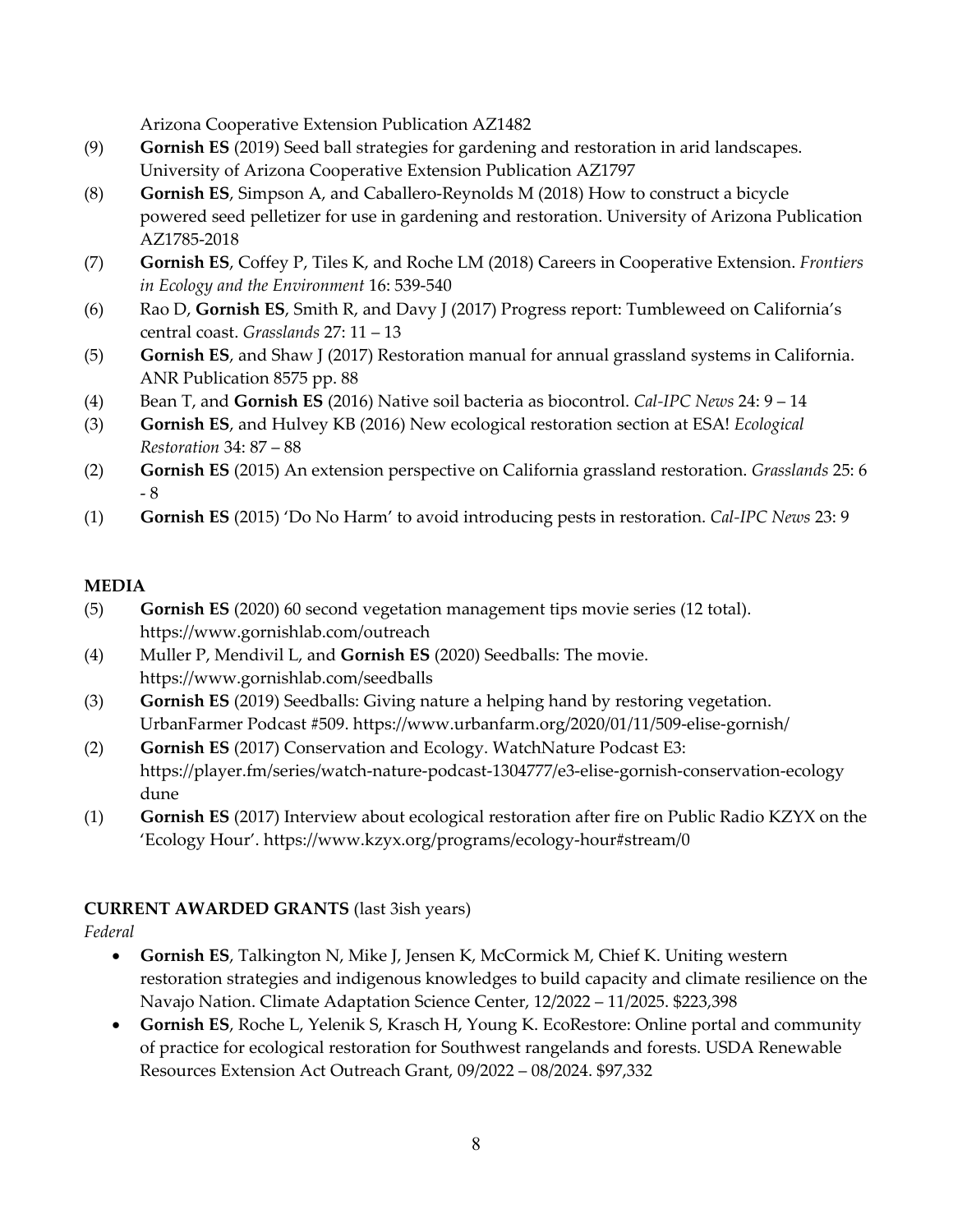Arizona Cooperative Extension Publication AZ1482

- (9) **Gornish ES** (2019) Seed ball strategies for gardening and restoration in arid landscapes. University of Arizona Cooperative Extension Publication AZ1797
- (8) **Gornish ES**, Simpson A, and Caballero-Reynolds M (2018) How to construct a bicycle powered seed pelletizer for use in gardening and restoration. University of Arizona Publication AZ1785-2018
- (7) **Gornish ES**, Coffey P, Tiles K, and Roche LM (2018) Careers in Cooperative Extension. *Frontiers in Ecology and the Environment* 16: 539-540
- (6) Rao D, **Gornish ES**, Smith R, and Davy J (2017) Progress report: Tumbleweed on California's central coast. *Grasslands* 27: 11 – 13
- (5) **Gornish ES**, and Shaw J (2017) Restoration manual for annual grassland systems in California. ANR Publication 8575 pp. 88
- (4) Bean T, and **Gornish ES** (2016) Native soil bacteria as biocontrol. *Cal-IPC News* 24: 9 14
- (3) **Gornish ES**, and Hulvey KB (2016) New ecological restoration section at ESA! *Ecological Restoration* 34: 87 – 88
- (2) **Gornish ES** (2015) An extension perspective on California grassland restoration. *Grasslands* 25: 6 - 8
- (1) **Gornish ES** (2015) 'Do No Harm' to avoid introducing pests in restoration. *Cal-IPC News* 23: 9

# **MEDIA**

- (5) **Gornish ES** (2020) 60 second vegetation management tips movie series (12 total). https://www.gornishlab.com/outreach
- (4) Muller P, Mendivil L, and **Gornish ES** (2020) Seedballs: The movie. <https://www.gornishlab.com/seedballs>
- (3) **Gornish ES** (2019) Seedballs: Giving nature a helping hand by restoring vegetation. UrbanFarmer Podcast #509.<https://www.urbanfarm.org/2020/01/11/509-elise-gornish/>
- (2) **Gornish ES** (2017) Conservation and Ecology. WatchNature Podcast E3: [https://player.fm/series/watch-nature-podcast-1304777/e3-elise-gornish-conservation-ecology](https://player.fm/series/watch-nature-podcast-1304777/e3-elise-gornish-conservation-ecologydune) [dune](https://player.fm/series/watch-nature-podcast-1304777/e3-elise-gornish-conservation-ecologydune)
- (1) **Gornish ES** (2017) Interview about ecological restoration after fire on Public Radio KZYX on the 'Ecology Hour'.<https://www.kzyx.org/programs/ecology-hour#stream/0>

# **CURRENT AWARDED GRANTS** (last 3ish years)

*Federal*

- **Gornish ES**, Talkington N, Mike J, Jensen K, McCormick M, Chief K. Uniting western restoration strategies and indigenous knowledges to build capacity and climate resilience on the Navajo Nation. Climate Adaptation Science Center, 12/2022 – 11/2025. \$223,398
- **Gornish ES**, Roche L, Yelenik S, Krasch H, Young K. EcoRestore: Online portal and community of practice for ecological restoration for Southwest rangelands and forests. USDA Renewable Resources Extension Act Outreach Grant, 09/2022 – 08/2024. \$97,332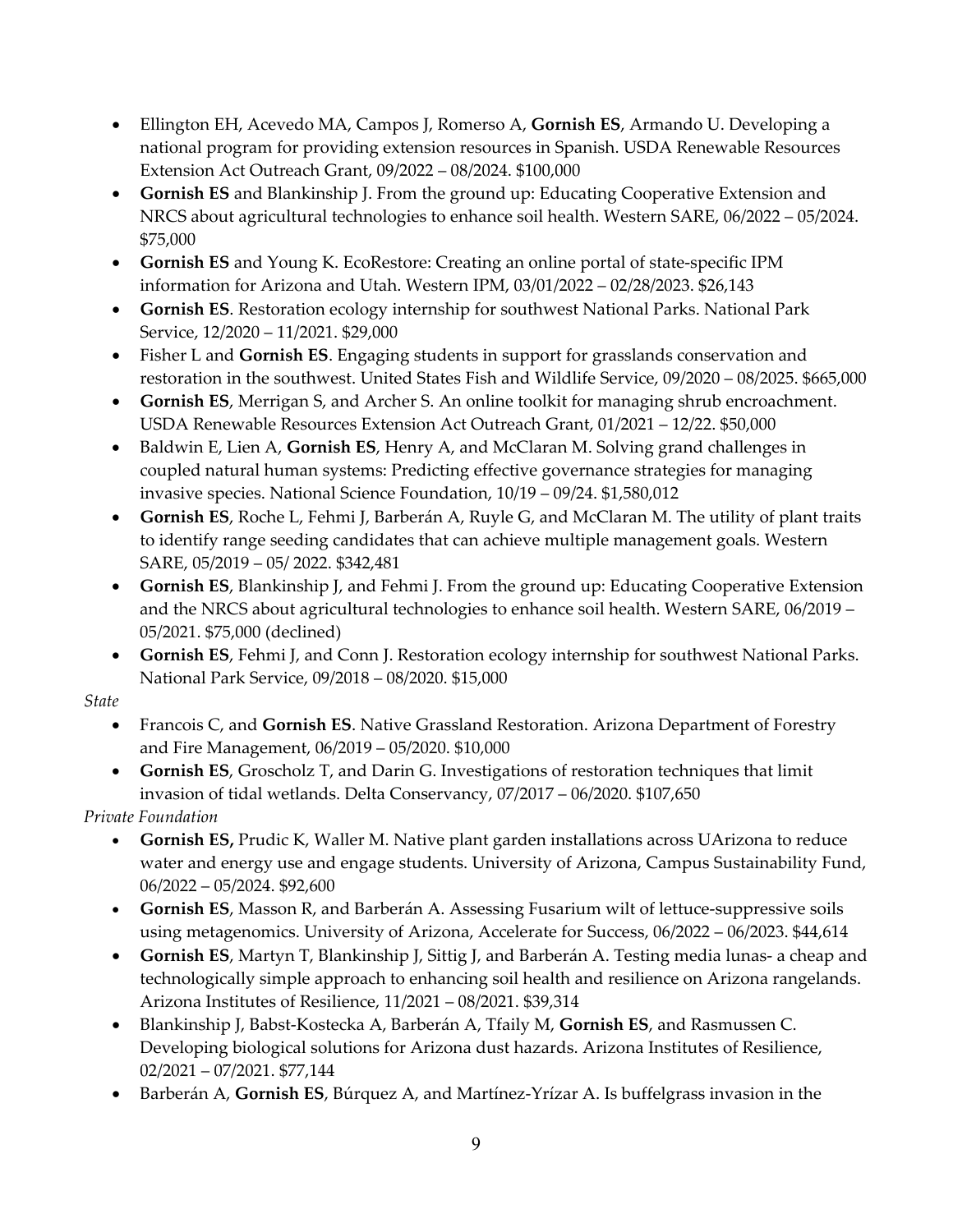- Ellington EH, Acevedo MA, Campos J, Romerso A, **Gornish ES**, Armando U. Developing a national program for providing extension resources in Spanish. USDA Renewable Resources Extension Act Outreach Grant, 09/2022 – 08/2024. \$100,000
- **Gornish ES** and Blankinship J. From the ground up: Educating Cooperative Extension and NRCS about agricultural technologies to enhance soil health. Western SARE, 06/2022 – 05/2024. \$75,000
- **Gornish ES** and Young K. EcoRestore: Creating an online portal of state-specific IPM information for Arizona and Utah. Western IPM, 03/01/2022 – 02/28/2023. \$26,143
- **Gornish ES**. Restoration ecology internship for southwest National Parks. National Park Service, 12/2020 – 11/2021. \$29,000
- Fisher L and **Gornish ES**. Engaging students in support for grasslands conservation and restoration in the southwest. United States Fish and Wildlife Service, 09/2020 – 08/2025. \$665,000
- **Gornish ES**, Merrigan S, and Archer S. An online toolkit for managing shrub encroachment. USDA Renewable Resources Extension Act Outreach Grant, 01/2021 – 12/22. \$50,000
- Baldwin E, Lien A, **Gornish ES**, Henry A, and McClaran M. Solving grand challenges in coupled natural human systems: Predicting effective governance strategies for managing invasive species. National Science Foundation, 10/19 – 09/24. \$1,580,012
- **Gornish ES**, Roche L, Fehmi J, Barberán A, Ruyle G, and McClaran M. The utility of plant traits to identify range seeding candidates that can achieve multiple management goals. Western SARE, 05/2019 – 05/ 2022. \$342,481
- **Gornish ES**, Blankinship J, and Fehmi J. From the ground up: Educating Cooperative Extension and the NRCS about agricultural technologies to enhance soil health. Western SARE, 06/2019 – 05/2021. \$75,000 (declined)
- **Gornish ES**, Fehmi J, and Conn J. Restoration ecology internship for southwest National Parks. National Park Service, 09/2018 – 08/2020. \$15,000

*State*

- Francois C, and **Gornish ES**. Native Grassland Restoration. Arizona Department of Forestry and Fire Management, 06/2019 – 05/2020. \$10,000
- **Gornish ES**, Groscholz T, and Darin G. Investigations of restoration techniques that limit invasion of tidal wetlands. Delta Conservancy, 07/2017 – 06/2020. \$107,650

*Private Foundation*

- **Gornish ES,** Prudic K, Waller M. Native plant garden installations across UArizona to reduce water and energy use and engage students. University of Arizona, Campus Sustainability Fund, 06/2022 – 05/2024. \$92,600
- **Gornish ES**, Masson R, and Barberán A. Assessing Fusarium wilt of lettuce-suppressive soils using metagenomics. University of Arizona, Accelerate for Success, 06/2022 – 06/2023. \$44,614
- **Gornish ES**, Martyn T, Blankinship J, Sittig J, and Barberán A. Testing media lunas- a cheap and technologically simple approach to enhancing soil health and resilience on Arizona rangelands. Arizona Institutes of Resilience, 11/2021 – 08/2021. \$39,314
- Blankinship J, Babst-Kostecka A, Barberán A, Tfaily M, **Gornish ES**, and Rasmussen C. Developing biological solutions for Arizona dust hazards. Arizona Institutes of Resilience, 02/2021 – 07/2021. \$77,144
- Barberán A, **Gornish ES**, Búrquez A, and Martínez-Yrízar A. Is buffelgrass invasion in the